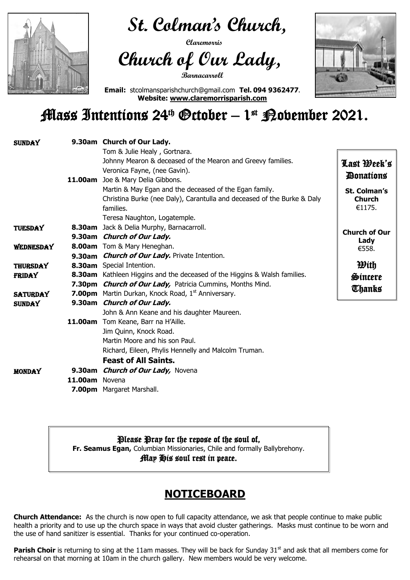

 **St. Colman's Church,** 

 **Claremorris** 

# **Church of Our Lady,**

**Barnacarroll**



**Email:** stcolmansparishchurch@gmail.com **Tel. 094 9362477. Website: [www.claremorrisparish.com](http://www.claremorrisparish.com/)**

## Mass Intentions 24th October – 1 st November 2021.

### **NOTICEBOARD**

Parish Choir is returning to sing at the 11am masses. They will be back for Sunday 31<sup>st</sup> and ask that all members come for rehearsal on that morning at 10am in the church gallery. New members would be very welcome.

| <b>SUNDAY</b>   |                | 9.30am Church of Our Lady.                                                       |                         |
|-----------------|----------------|----------------------------------------------------------------------------------|-------------------------|
|                 |                | Tom & Julie Healy, Gortnara.                                                     |                         |
|                 |                | Johnny Mearon & deceased of the Mearon and Greevy families.                      | Last Deek's             |
|                 |                | Veronica Fayne, (nee Gavin).                                                     | <b><i>Ponations</i></b> |
|                 |                | 11.00am Joe & Mary Delia Gibbons.                                                |                         |
|                 |                | Martin & May Egan and the deceased of the Egan family.                           | <b>St. Colman's</b>     |
|                 |                | Christina Burke (nee Daly), Carantulla and deceased of the Burke & Daly          | <b>Church</b>           |
|                 |                | families.                                                                        | €1175.                  |
|                 |                | Teresa Naughton, Logatemple.                                                     |                         |
| <b>TUESDAY</b>  |                | <b>8.30am</b> Jack & Delia Murphy, Barnacarroll.                                 | <b>Church of Our</b>    |
|                 |                | 9.30am Church of Our Lady.                                                       | Lady                    |
| WEDNESDAY       |                | <b>8.00am</b> Tom & Mary Heneghan.                                               | €558.                   |
|                 |                | 9.30am <i>Church of Our Lady.</i> Private Intention.                             |                         |
| <b>THURSDAY</b> |                | 8.30am Special Intention.                                                        | <b>With</b>             |
| <b>FRIDAY</b>   |                | <b>8.30am</b> Kathleen Higgins and the deceased of the Higgins & Walsh families. | Sincere                 |
|                 |                | 7.30pm <i>Church of Our Lady</i> , Patricia Cummins, Months Mind.                | <b>Thanks</b>           |
| <b>SATURDAY</b> |                | <b>7.00pm</b> Martin Durkan, Knock Road, 1 <sup>st</sup> Anniversary.            |                         |
| <b>SUNDAY</b>   |                | 9.30am Church of Our Lady.                                                       |                         |
|                 |                | John & Ann Keane and his daughter Maureen.                                       |                         |
|                 |                | <b>11.00am</b> Tom Keane, Barr na H'Aille.                                       |                         |
|                 |                | Jim Quinn, Knock Road.                                                           |                         |
|                 |                | Martin Moore and his son Paul.                                                   |                         |
|                 |                | Richard, Eileen, Phylis Hennelly and Malcolm Truman.                             |                         |
|                 |                | <b>Feast of All Saints.</b>                                                      |                         |
| <b>MONDAY</b>   |                | 9.30am <i>Church of Our Lady</i> , Novena                                        |                         |
|                 | 11.00am Novena |                                                                                  |                         |
|                 |                | <b>7.00pm</b> Margaret Marshall.                                                 |                         |

**Church Attendance:** As the church is now open to full capacity attendance, we ask that people continue to make public health a priority and to use up the church space in ways that avoid cluster gatherings. Masks must continue to be worn and the use of hand sanitizer is essential. Thanks for your continued co-operation.

Please Pray for the repose of the soul of, **Fr. Seamus Egan,** Columbian Missionaries, Chile and formally Ballybrehony. May His soul rest in peace.